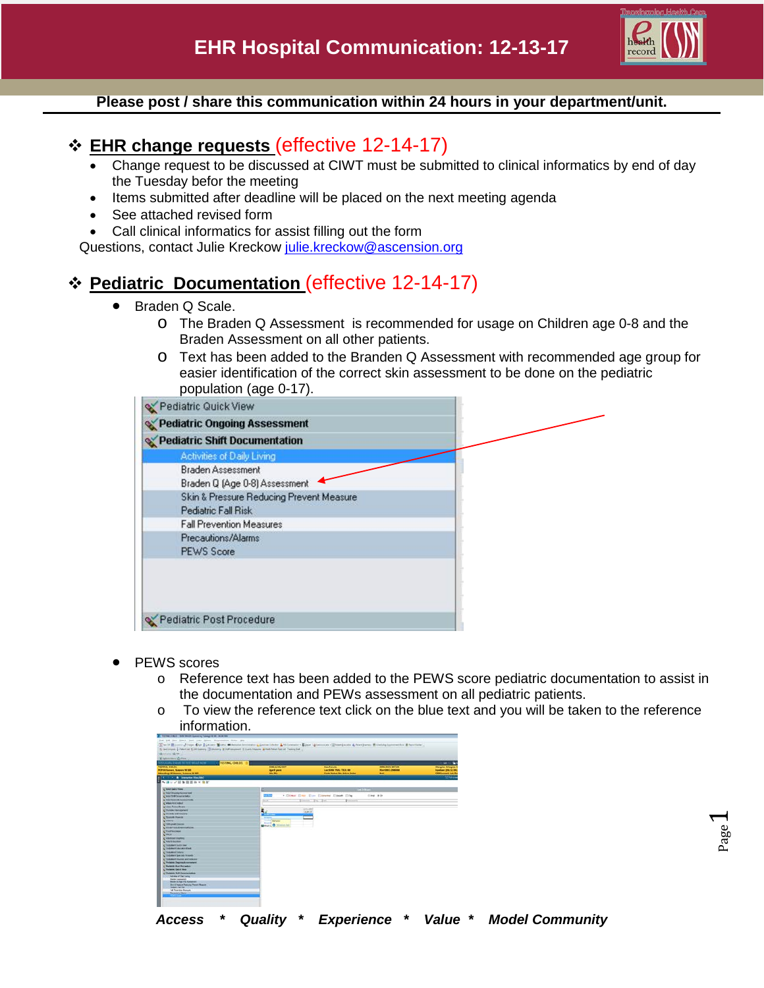

#### **Please post / share this communication within 24 hours in your department/unit.**

## **EHR change requests** (effective 12-14-17)

- Change request to be discussed at CIWT must be submitted to clinical informatics by end of day the Tuesday befor the meeting
- Items submitted after deadline will be placed on the next meeting agenda
- See attached revised form
- Call clinical informatics for assist filling out the form

Questions, contact Julie Kreckow [julie.kreckow@ascension.org](mailto:julie.kreckow@ascension.org)

## **Pediatric Documentation** (effective 12-14-17)

- Braden Q Scale.
	- o The Braden Q Assessment is recommended for usage on Children age 0-8 and the Braden Assessment on all other patients.
	- o Text has been added to the Branden Q Assessment with recommended age group for easier identification of the correct skin assessment to be done on the pediatric population (age 0-17).

| Pediatric Quick View                     |  |
|------------------------------------------|--|
| Pediatric Ongoing Assessment             |  |
| Pediatric Shift Documentation            |  |
| Activities of Daily Living               |  |
| <b>Braden Assessment</b>                 |  |
| Braden Q (Age 0-8) Assessment            |  |
| Skin & Pressure Reducing Prevent Measure |  |
| Pediatric Fall Risk                      |  |
| <b>Fall Prevention Measures</b>          |  |
| Precautions/Alarms                       |  |
| <b>PEWS Score</b>                        |  |
|                                          |  |
|                                          |  |
|                                          |  |
|                                          |  |
| Pediatric Post Procedure                 |  |

- PEWS scores
	- o Reference text has been added to the PEWS score pediatric documentation to assist in the documentation and PEWs assessment on all pediatric patients.
	- $\circ$  To view the reference text click on the blue text and you will be taken to the reference information.

| Witakovani (Daton correct)                                  |                          |                                            |                               |                                               |
|-------------------------------------------------------------|--------------------------|--------------------------------------------|-------------------------------|-----------------------------------------------|
|                                                             |                          |                                            |                               | \$4.10                                        |
| <b>TASTING CHILIDA</b>                                      | <b>DOMESTIC ONLY</b>     | <b>San Associate</b>                       | <b>ANDREW CAPTER MAIL COM</b> |                                               |
| <b>Hilf-Millerson, Scannon W103</b>                         | <b>Agent yours</b>       | Lactions PAK: 1323-00                      | <b>Blue does Livestons</b>    | Allegan Allegan N<br><b>Insertant DRIVERS</b> |
| Marshey Willenson, Suizens M NO                             | <b>Mar Dist</b>          | <b>Code Bullet: No Action Order</b>        | <b>Ball</b>                   | <b>CONCARRING A.A. Fut</b>                    |
| <b>C. S. A. Stewarter Ham 180</b>                           |                          |                                            |                               | <b>TERRITO</b>                                |
| ヘネルズ目を自首ねて施に                                                |                          |                                            |                               |                                               |
| to' hour lasts fire                                         |                          | <b>CERPSTYPHONE</b>                        |                               |                                               |
| ing these Drawing Harness tend.                             |                          |                                            |                               |                                               |
| scient tractionmentals                                      | <b>ELE</b>               | . Closer Creen Clay Clarence Clause Cities | <b>Cing Bib</b>               |                                               |
| NC RAW RoamsAr Automotivement                               | <b>Silver</b>            | ment Fit I'm<br><b>Distances</b>           |                               |                                               |
| <b>IC MINERESORIE</b>                                       |                          |                                            |                               |                                               |
| Cites Ann Dans                                              |                          |                                            |                               |                                               |
| C (Satura) Municipatent                                     |                          | Limited                                    |                               |                                               |
| <b>NC Illinois</b> undividuals                              |                          | <b>1000 COT</b>                            |                               |                                               |
| C Tuncula Hyunzi                                            | <b>STATE</b>             |                                            |                               |                                               |
| CORPORATION                                                 | <b>CONTROL BARBARE</b>   |                                            |                               |                                               |
| <b>CONGHEENING</b>                                          | <b>Salesman</b>          |                                            |                               |                                               |
| <b>CRIMPOLS</b> Francisco                                   | Mittel & O. Ministration |                                            |                               |                                               |
| CPANTHOMAS                                                  |                          |                                            |                               |                                               |
| <b>NORTH</b>                                                |                          |                                            |                               |                                               |
| <b>N.</b> Historican Country                                |                          |                                            |                               |                                               |
|                                                             |                          |                                            |                               |                                               |
| <b>Charlington</b><br>NC DUSING CARS FWW                    |                          |                                            |                               |                                               |
|                                                             |                          |                                            |                               |                                               |
| <b>NCOORANTE CALCULATIONS</b>                               |                          |                                            |                               |                                               |
| <b>COALMAND TORING</b>                                      |                          |                                            |                               |                                               |
| an Culturean Specials Incapets                              |                          |                                            |                               |                                               |
| NCTARGMENT (Factories and medicality)                       |                          |                                            |                               |                                               |
| C Perfects Degrees Extensional                              |                          |                                            |                               |                                               |
| C Parkers Post Projector                                    |                          |                                            |                               |                                               |
| C Perderive Galori Mare                                     |                          |                                            |                               |                                               |
| Cinters Di Locurristo                                       |                          |                                            |                               |                                               |
| Address of State Listing                                    |                          |                                            |                               |                                               |
| <b>Berker Ispanisher</b><br><b>Book 3 Par P E. Garaneer</b> |                          |                                            |                               |                                               |
| <b>BA &amp; Testure Petrury Power Meeting</b>               |                          |                                            |                               |                                               |
| Postale Full Page                                           |                          |                                            |                               |                                               |
| of Fourte Broads                                            |                          |                                            |                               |                                               |
| <b><i><u>Renderling Marine</u></i></b>                      |                          |                                            |                               |                                               |

*Access \* Quality \* Experience \* Value \* Model Community*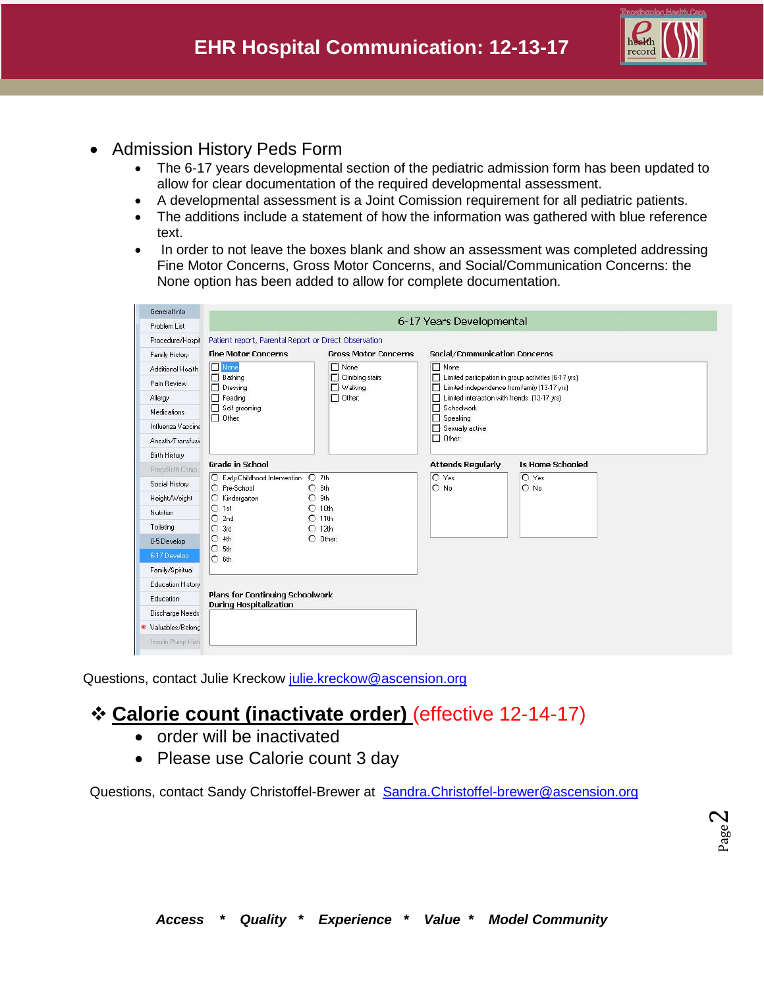

- Admission History Peds Form
	- The 6-17 years developmental section of the pediatric admission form has been updated to allow for clear documentation of the required developmental assessment.
	- A developmental assessment is a Joint Comission requirement for all pediatric patients.
	- The additions include a statement of how the information was gathered with blue reference text.
	- In order to not leave the boxes blank and show an assessment was completed addressing Fine Motor Concerns, Gross Motor Concerns, and Social/Communication Concerns: the None option has been added to allow for complete documentation.

| General Info              |                                                                                                                              |                             |                                                                                                                                                              |                         |  |
|---------------------------|------------------------------------------------------------------------------------------------------------------------------|-----------------------------|--------------------------------------------------------------------------------------------------------------------------------------------------------------|-------------------------|--|
| Problem List              | 6-17 Years Developmental                                                                                                     |                             |                                                                                                                                                              |                         |  |
| Procedure/Hospil          | Patient report, Parental Report or Direct Observation                                                                        |                             |                                                                                                                                                              |                         |  |
| Family History            | <b>Fine Motor Concerns</b>                                                                                                   | <b>Gross Motor Concerns</b> | Social/Communication Concerns                                                                                                                                |                         |  |
| Additional Health         | None<br>$\Box$ None<br>$\Box$ Bathing<br>п<br>Climbing stairs<br>$\Box$ Walking<br>Dressing<br>п<br>$\Box$ Feeding<br>Other: |                             | $\Box$ None                                                                                                                                                  |                         |  |
| Pain Review               |                                                                                                                              |                             | п<br>Limited participation in group activities (6-17 yrs).<br>Limited independence from family (13-17 yrs)<br>□ Limited interaction with friends (13-17 yrs) |                         |  |
| Allergy                   |                                                                                                                              |                             |                                                                                                                                                              |                         |  |
| Medications               | Self grooming                                                                                                                |                             | <b>T</b> Schoolwork<br>$\Box$ Speaking<br>Sexually active<br>$\Box$ Other:                                                                                   |                         |  |
| Influenza Vaccine         | $\Box$ Other:                                                                                                                |                             |                                                                                                                                                              |                         |  |
| Anesth/Transfusir         |                                                                                                                              |                             |                                                                                                                                                              |                         |  |
| Birth History             |                                                                                                                              |                             |                                                                                                                                                              |                         |  |
| Preg/Birth Comp           | <b>Grade in School</b>                                                                                                       |                             | <b>Attends Requiarly</b>                                                                                                                                     | <b>Is Home Schooled</b> |  |
| Social History            | C Early Childhood Intervention<br>$O$ 7th<br>$O$ 8th<br>O Pre-School<br>$\Omega$<br>C Kindergarten<br>9th                    |                             | $O$ Yes<br>$O$ No                                                                                                                                            | O Yes<br>$\bigcirc$ No  |  |
| Height/Weight             |                                                                                                                              |                             |                                                                                                                                                              |                         |  |
| <b>Nutrition</b>          | $O$ 1st                                                                                                                      | $O$ 10th                    |                                                                                                                                                              |                         |  |
| Toileting                 | O<br>2nd                                                                                                                     | $O$ 11th                    |                                                                                                                                                              |                         |  |
| 0-5 Develop               | 3rd<br>$O$ 12th<br>O<br>$O$ 4th<br>$O$ Other:<br>$O$ 5th                                                                     |                             |                                                                                                                                                              |                         |  |
| 6-17 Develop              |                                                                                                                              |                             |                                                                                                                                                              |                         |  |
| Family/Spiritual          | $O$ 6th                                                                                                                      |                             |                                                                                                                                                              |                         |  |
|                           |                                                                                                                              |                             |                                                                                                                                                              |                         |  |
| Education History         | <b>Plans for Continuing Schoolwork</b>                                                                                       |                             |                                                                                                                                                              |                         |  |
| Education                 | <b>During Hospitalization</b>                                                                                                |                             |                                                                                                                                                              |                         |  |
| Discharge Needs           |                                                                                                                              |                             |                                                                                                                                                              |                         |  |
| * Valuables/Belonc        |                                                                                                                              |                             |                                                                                                                                                              |                         |  |
| <b>Insulin Pump Histi</b> |                                                                                                                              |                             |                                                                                                                                                              |                         |  |

Questions, contact Julie Kreckow [julie.kreckow@ascension.org](mailto:julie.kreckow@ascension.org)

# **Calorie count (inactivate order)** (effective 12-14-17)

- order will be inactivated
- Please use Calorie count 3 day

Questions, contact Sandy Christoffel-Brewer at [Sandra.Christoffel-brewer@ascension.org](mailto:Sandra.Christoffel-brewer@ascension.org)